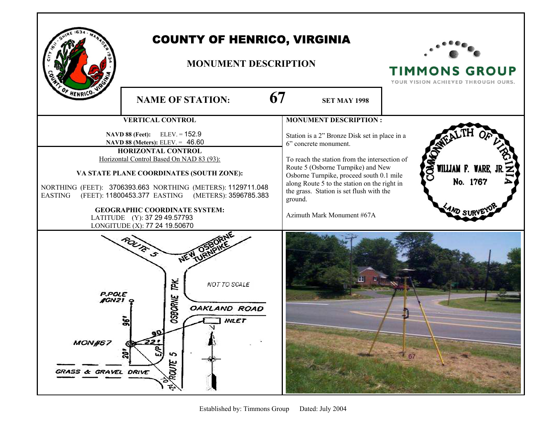

## COUNTY OF HENRICO, VIRGINIA

## **MONUMENT DESCRIPTION**



**TIMMONS GROUP** 

| OF HENRICO. VI                                                                                                                                                                  | 67<br><b>NAME OF STATION:</b>                                                                          | <b>SET MAY 1998</b>                                                                                                                                                                   | IUUN VISIUN AUNIEVED INNUUUN UURS             |
|---------------------------------------------------------------------------------------------------------------------------------------------------------------------------------|--------------------------------------------------------------------------------------------------------|---------------------------------------------------------------------------------------------------------------------------------------------------------------------------------------|-----------------------------------------------|
| <b>VERTICAL CONTROL</b>                                                                                                                                                         |                                                                                                        | <b>MONUMENT DESCRIPTION:</b>                                                                                                                                                          |                                               |
| $ELEV = 152.9$<br><b>NAVD 88 (Feet):</b><br>NAVD 88 (Meters): ELEV. = 46.60                                                                                                     |                                                                                                        | Station is a 2" Bronze Disk set in place in a<br>6" concrete monument.                                                                                                                |                                               |
| HORIZONTAL CONTROL<br>Horizontal Control Based On NAD 83 (93):                                                                                                                  |                                                                                                        | To reach the station from the intersection of                                                                                                                                         |                                               |
| VA STATE PLANE COORDINATES (SOUTH ZONE):<br>NORTHING (FEET): 3706393.663 NORTHING (METERS): 1129711.048<br>(FEET): 11800453.377 EASTING (METERS): 3596785.383<br><b>EASTING</b> |                                                                                                        | Route 5 (Osborne Turnpike) and New<br>Osborne Turnpike, proceed south 0.1 mile<br>along Route 5 to the station on the right in<br>the grass. Station is set flush with the<br>ground. | <b>COMA</b><br>WILLIAM F. WARE, J<br>No. 1767 |
| <b>GEOGRAPHIC COORDINATE SYSTEM:</b><br>LATITUDE (Y): 37 29 49.57793<br>LONGITUDE (X): 77 24 19.50670                                                                           |                                                                                                        | Azimuth Mark Monument #67A                                                                                                                                                            | <b>AND SURV</b>                               |
| <b>P.POLE</b><br><b>JGN21 Q</b><br>MONH67<br>GRASS & GRAVEL DRIVE                                                                                                               | ROUTE S<br>NEW<br>ĭPK.<br>NOT TO SCALE<br><b>OSBORNE</b><br>OAKLAND ROAD<br><b>INLET</b><br>5<br>ROUTE |                                                                                                                                                                                       |                                               |